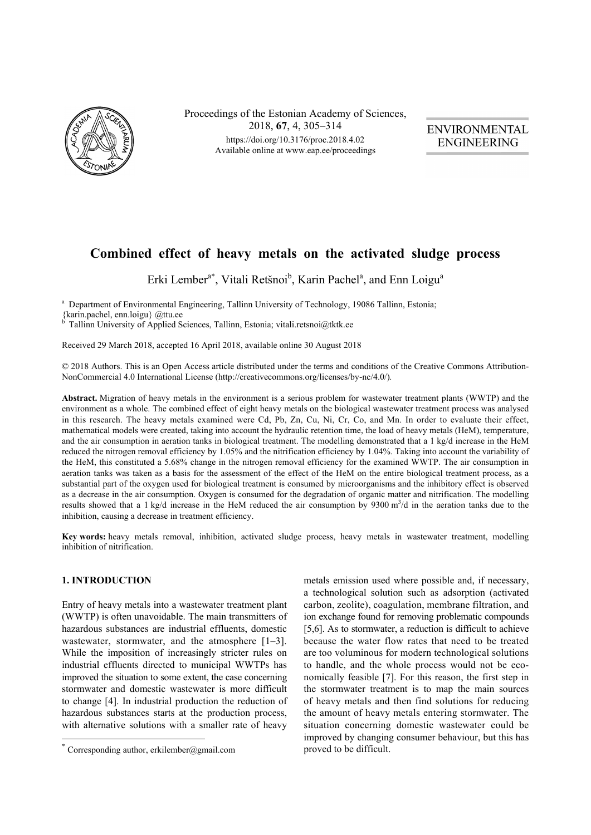

Proceedings of the Estonian Academy of Sciences, 2018, **67**, 4, 305–314 https://doi.org/10.3176/proc.2018.4.02. Available online at www.eap.ee/proceedings

**ENVIRONMENTAL ENGINEERING** 

# **Combined effect of heavy metals on the activated sludge process**

Erki Lember<sup>a\*</sup>, Vitali Retšnoi<sup>b</sup>, Karin Pachel<sup>a</sup>, and Enn Loigu<sup>a</sup>

<sup>a</sup> Department of Environmental Engineering, Tallinn University of Technology, 19086 Tallinn, Estonia; {karin.pachel, enn.loigu} @ttu.ee

b Tallinn University of Applied Sciences, Tallinn, Estonia; vitali.retsnoi@tktk.ee

Received 29 March 2018, accepted 16 April 2018, available online 30 August 2018

© 2018 Authors. This is an Open Access article distributed under the terms and conditions of the Creative Commons Attribution-NonCommercial 4.0 International License (http://creativecommons.org/licenses/by-nc/4.0/)*.*

**Abstract.** Migration of heavy metals in the environment is a serious problem for wastewater treatment plants (WWTP) and the environment as a whole. The combined effect of eight heavy metals on the biological wastewater treatment process was analysed in this research. The heavy metals examined were Cd, Pb, Zn, Cu, Ni, Cr, Co, and Mn. In order to evaluate their effect, mathematical models were created, taking into account the hydraulic retention time, the load of heavy metals (HeM), temperature, and the air consumption in aeration tanks in biological treatment. The modelling demonstrated that a 1 kg/d increase in the HeM reduced the nitrogen removal efficiency by 1.05% and the nitrification efficiency by 1.04%. Taking into account the variability of the HeM, this constituted a 5.68% change in the nitrogen removal efficiency for the examined WWTP. The air consumption in aeration tanks was taken as a basis for the assessment of the effect of the HeM on the entire biological treatment process, as a substantial part of the oxygen used for biological treatment is consumed by microorganisms and the inhibitory effect is observed as a decrease in the air consumption. Oxygen is consumed for the degradation of organic matter and nitrification. The modelling results showed that a 1 kg/d increase in the HeM reduced the air consumption by 9300  $m<sup>3</sup>/d$  in the aeration tanks due to the inhibition, causing a decrease in treatment efficiency.

**Key words:** heavy metals removal, inhibition, activated sludge process, heavy metals in wastewater treatment, modelling inhibition of nitrification.

# **1. INTRODUCTION**

 $\overline{a}$ 

Entry of heavy metals into a wastewater treatment plant (WWTP) is often unavoidable. The main transmitters of hazardous substances are industrial effluents, domestic wastewater, stormwater, and the atmosphere [1–3]. While the imposition of increasingly stricter rules on industrial effluents directed to municipal WWTPs has improved the situation to some extent, the case concerning stormwater and domestic wastewater is more difficult to change [4]. In industrial production the reduction of hazardous substances starts at the production process, with alternative solutions with a smaller rate of heavy

metals emission used where possible and, if necessary, a technological solution such as adsorption (activated carbon, zeolite), coagulation, membrane filtration, and ion exchange found for removing problematic compounds [5,6]. As to stormwater, a reduction is difficult to achieve because the water flow rates that need to be treated are too voluminous for modern technological solutions to handle, and the whole process would not be economically feasible [7]. For this reason, the first step in the stormwater treatment is to map the main sources of heavy metals and then find solutions for reducing the amount of heavy metals entering stormwater. The situation concerning domestic wastewater could be improved by changing consumer behaviour, but this has proved to be difficult.

Corresponding author, erkilember@gmail.com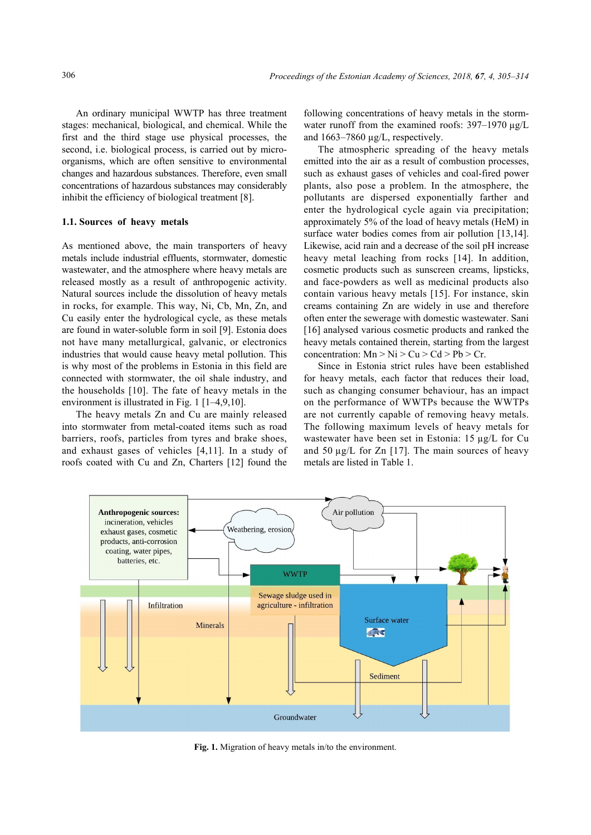An ordinary municipal WWTP has three treatment stages: mechanical, biological, and chemical. While the first and the third stage use physical processes, the second, i.e. biological process, is carried out by microorganisms, which are often sensitive to environmental changes and hazardous substances. Therefore, even small concentrations of hazardous substances may considerably inhibit the efficiency of biological treatment [8].

#### **1.1. Sources of heavy metals**

As mentioned above, the main transporters of heavy metals include industrial effluents, stormwater, domestic wastewater, and the atmosphere where heavy metals are released mostly as a result of anthropogenic activity. Natural sources include the dissolution of heavy metals in rocks, for example. This way, Ni, Cb, Mn, Zn, and Cu easily enter the hydrological cycle, as these metals are found in water-soluble form in soil [9]. Estonia does not have many metallurgical, galvanic, or electronics industries that would cause heavy metal pollution. This is why most of the problems in Estonia in this field are connected with stormwater, the oil shale industry, and the households [10]. The fate of heavy metals in the environment is illustrated in Fig. 1 [1–4,9,10].

The heavy metals Zn and Cu are mainly released into stormwater from metal-coated items such as road barriers, roofs, particles from tyres and brake shoes, and exhaust gases of vehicles [4,11]. In a study of roofs coated with Cu and Zn, Charters [12] found the

following concentrations of heavy metals in the stormwater runoff from the examined roofs: 397–1970 µg/L and 1663–7860 µg/L, respectively.

The atmospheric spreading of the heavy metals emitted into the air as a result of combustion processes, such as exhaust gases of vehicles and coal-fired power plants, also pose a problem. In the atmosphere, the pollutants are dispersed exponentially farther and enter the hydrological cycle again via precipitation; approximately 5% of the load of heavy metals (HeM) in surface water bodies comes from air pollution [13,14]. Likewise, acid rain and a decrease of the soil pH increase heavy metal leaching from rocks [14]. In addition, cosmetic products such as sunscreen creams, lipsticks, and face-powders as well as medicinal products also contain various heavy metals [15]. For instance, skin creams containing Zn are widely in use and therefore often enter the sewerage with domestic wastewater. Sani [16] analysed various cosmetic products and ranked the heavy metals contained therein, starting from the largest concentration:  $Mn > Ni > Cu > Cd > Pb > Cr$ .

Since in Estonia strict rules have been established for heavy metals, each factor that reduces their load, such as changing consumer behaviour, has an impact on the performance of WWTPs because the WWTPs are not currently capable of removing heavy metals. The following maximum levels of heavy metals for wastewater have been set in Estonia: 15 µg/L for Cu and 50  $\mu$ g/L for Zn [17]. The main sources of heavy metals are listed in Table 1.



**Fig. 1.** Migration of heavy metals in/to the environment.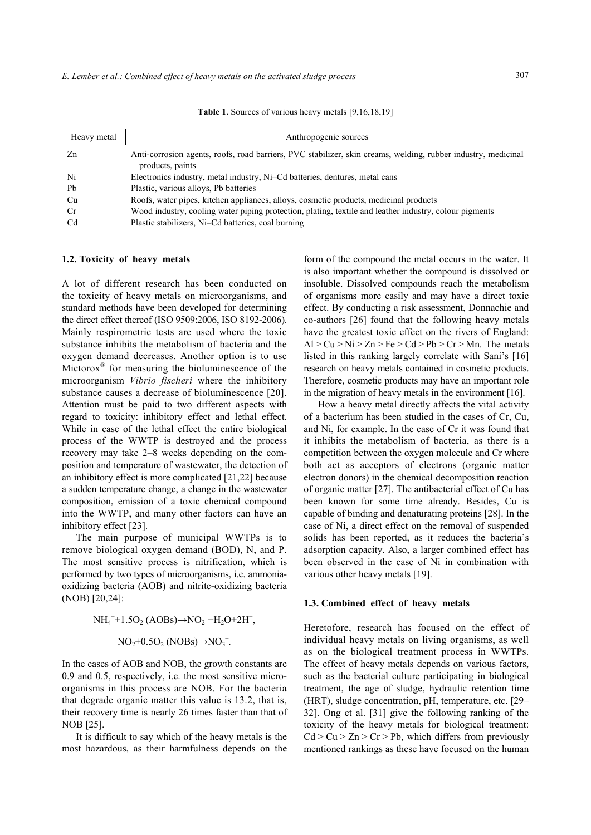| Heavy metal | Anthropogenic sources                                                                                                             |
|-------------|-----------------------------------------------------------------------------------------------------------------------------------|
| Zn          | Anti-corrosion agents, roofs, road barriers, PVC stabilizer, skin creams, welding, rubber industry, medicinal<br>products, paints |
| Ni          | Electronics industry, metal industry, Ni-Cd batteries, dentures, metal cans                                                       |
| Pb          | Plastic, various alloys, Pb batteries                                                                                             |
| Cu          | Roofs, water pipes, kitchen appliances, alloys, cosmetic products, medicinal products                                             |
| <b>Cr</b>   | Wood industry, cooling water piping protection, plating, textile and leather industry, colour pigments                            |
| Cd          | Plastic stabilizers, Ni-Cd batteries, coal burning                                                                                |

Table 1. Sources of various heavy metals [9,16,18,19]

### **1.2. Toxicity of heavy metals**

A lot of different research has been conducted on the toxicity of heavy metals on microorganisms, and standard methods have been developed for determining the direct effect thereof (ISO 9509:2006, ISO 8192-2006). Mainly respirometric tests are used where the toxic substance inhibits the metabolism of bacteria and the oxygen demand decreases. Another option is to use Mictorox® for measuring the bioluminescence of the microorganism *Vibrio fischeri* where the inhibitory substance causes a decrease of bioluminescence [20]. Attention must be paid to two different aspects with regard to toxicity: inhibitory effect and lethal effect. While in case of the lethal effect the entire biological process of the WWTP is destroyed and the process recovery may take 2–8 weeks depending on the composition and temperature of wastewater, the detection of an inhibitory effect is more complicated [21,22] because a sudden temperature change, a change in the wastewater composition, emission of a toxic chemical compound into the WWTP, and many other factors can have an inhibitory effect [23].

The main purpose of municipal WWTPs is to remove biological oxygen demand (BOD), N, and P. The most sensitive process is nitrification, which is performed by two types of microorganisms, i.e. ammoniaoxidizing bacteria (AOB) and nitrite-oxidizing bacteria (NOB) [20,24]:

$$
NH_4^+ + 1.5O_2 (AOBs) \rightarrow NO_2^- + H_2O + 2H^+,
$$
  

$$
NO_2 + 0.5O_2 (NOBs) \rightarrow NO_3^-.
$$

In the cases of AOB and NOB, the growth constants are 0.9 and 0.5, respectively, i.e. the most sensitive microorganisms in this process are NOB. For the bacteria that degrade organic matter this value is 13.2, that is, their recovery time is nearly 26 times faster than that of NOB [25].

It is difficult to say which of the heavy metals is the most hazardous, as their harmfulness depends on the

form of the compound the metal occurs in the water. It is also important whether the compound is dissolved or insoluble. Dissolved compounds reach the metabolism of organisms more easily and may have a direct toxic effect. By conducting a risk assessment, Donnachie and co-authors [26] found that the following heavy metals have the greatest toxic effect on the rivers of England:  $Al > Cu > Ni > Zn > Fe > Cd > Pb > Cr > Mn$ . The metals listed in this ranking largely correlate with Sani's [16] research on heavy metals contained in cosmetic products. Therefore, cosmetic products may have an important role in the migration of heavy metals in the environment [16].

How a heavy metal directly affects the vital activity of a bacterium has been studied in the cases of Cr, Cu, and Ni, for example. In the case of Cr it was found that it inhibits the metabolism of bacteria, as there is a competition between the oxygen molecule and Cr where both act as acceptors of electrons (organic matter electron donors) in the chemical decomposition reaction of organic matter [27]. The antibacterial effect of Cu has been known for some time already. Besides, Cu is capable of binding and denaturating proteins [28]. In the case of Ni, a direct effect on the removal of suspended solids has been reported, as it reduces the bacteria's adsorption capacity. Also, a larger combined effect has been observed in the case of Ni in combination with various other heavy metals [19].

#### **1.3. Combined effect of heavy metals**

Heretofore, research has focused on the effect of individual heavy metals on living organisms, as well as on the biological treatment process in WWTPs. The effect of heavy metals depends on various factors, such as the bacterial culture participating in biological treatment, the age of sludge, hydraulic retention time (HRT), sludge concentration, pH, temperature, etc. [29– 32]. Ong et al. [31] give the following ranking of the toxicity of the heavy metals for biological treatment:  $Cd > Cu > Zn > Cr > Pb$ , which differs from previously mentioned rankings as these have focused on the human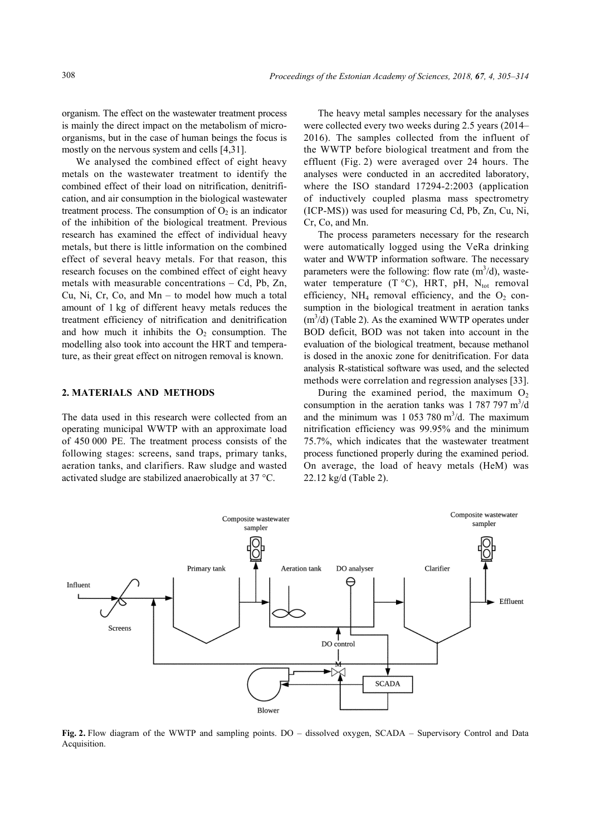organism. The effect on the wastewater treatment process is mainly the direct impact on the metabolism of microorganisms, but in the case of human beings the focus is mostly on the nervous system and cells [4,31].

We analysed the combined effect of eight heavy metals on the wastewater treatment to identify the combined effect of their load on nitrification, denitrification, and air consumption in the biological wastewater treatment process. The consumption of  $O<sub>2</sub>$  is an indicator of the inhibition of the biological treatment. Previous research has examined the effect of individual heavy metals, but there is little information on the combined effect of several heavy metals. For that reason, this research focuses on the combined effect of eight heavy metals with measurable concentrations – Cd, Pb, Zn, Cu, Ni, Cr, Co, and Mn – to model how much a total amount of 1 kg of different heavy metals reduces the treatment efficiency of nitrification and denitrification and how much it inhibits the  $O_2$  consumption. The modelling also took into account the HRT and temperature, as their great effect on nitrogen removal is known.

## **2. MATERIALS AND METHODS**

The data used in this research were collected from an operating municipal WWTP with an approximate load of 450 000 PE. The treatment process consists of the following stages: screens, sand traps, primary tanks, aeration tanks, and clarifiers. Raw sludge and wasted activated sludge are stabilized anaerobically at 37 °C.

The heavy metal samples necessary for the analyses were collected every two weeks during 2.5 years (2014– 2016). The samples collected from the influent of the WWTP before biological treatment and from the effluent (Fig. 2) were averaged over 24 hours. The analyses were conducted in an accredited laboratory, where the ISO standard 17294-2:2003 (application of inductively coupled plasma mass spectrometry (ICP-MS)) was used for measuring Cd, Pb, Zn, Cu, Ni, Cr, Co, and Mn.

The process parameters necessary for the research were automatically logged using the VeRa drinking water and WWTP information software. The necessary parameters were the following: flow rate  $(m^3/d)$ , wastewater temperature (T  $^{\circ}$ C), HRT, pH, N<sub>tot</sub> removal efficiency,  $NH_4$  removal efficiency, and the  $O_2$  consumption in the biological treatment in aeration tanks  $(m<sup>3</sup>/d)$  (Table 2). As the examined WWTP operates under BOD deficit, BOD was not taken into account in the evaluation of the biological treatment, because methanol is dosed in the anoxic zone for denitrification. For data analysis R-statistical software was used, and the selected methods were correlation and regression analyses [33].

During the examined period, the maximum  $O_2$ consumption in the aeration tanks was  $1787797 \text{ m}^3/\text{d}$ and the minimum was  $1\,053\,780\,\mathrm{m}^3/\mathrm{d}$ . The maximum nitrification efficiency was 99.95% and the minimum 75.7%, which indicates that the wastewater treatment process functioned properly during the examined period. On average, the load of heavy metals (HeM) was 22.12 kg/d (Table 2).



**Fig. 2.** Flow diagram of the WWTP and sampling points. DO – dissolved oxygen, SCADA – Supervisory Control and Data Acquisition.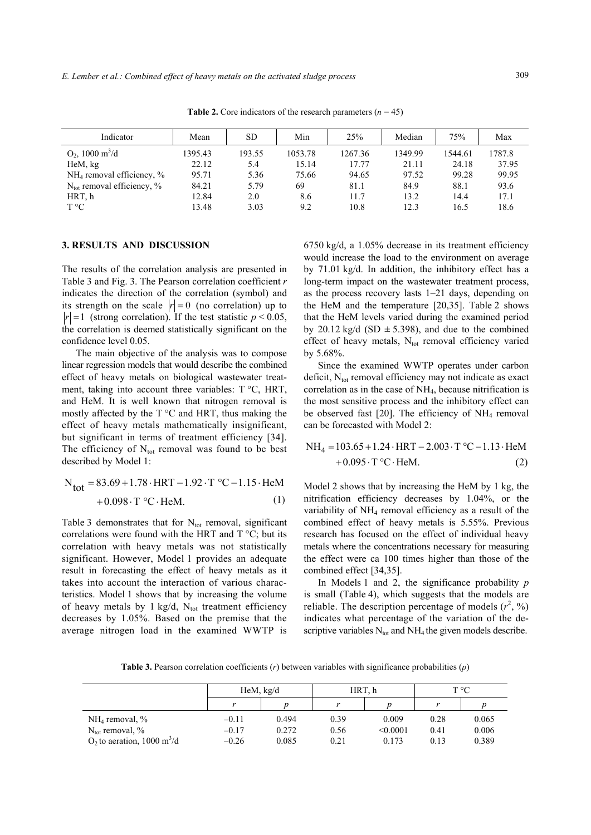| Indicator                              | Mean    | <b>SD</b> | Min     | 25%     | Median  | 75%     | Max    |
|----------------------------------------|---------|-----------|---------|---------|---------|---------|--------|
| $O_2$ , 1000 m <sup>3</sup> /d         | 1395.43 | 193.55    | 1053.78 | 1267.36 | 1349.99 | 1544.61 | 1787.8 |
| HeM, kg                                | 22.12   | 5.4       | 15.14   | 17.77   | 21.11   | 24.18   | 37.95  |
| $NH_4$ removal efficiency, %           | 95.71   | 5.36      | 75.66   | 94.65   | 97.52   | 99.28   | 99.95  |
| $N_{\text{tot}}$ removal efficiency, % | 84.21   | 5.79      | 69      | 81.1    | 84.9    | 88.1    | 93.6   |
| HRT, h                                 | 12.84   | 2.0       | 8.6     | 11.7    | 13.2    | 14.4    | 17.1   |
| $T^{\circ}C$                           | 13.48   | 3.03      | 9.2     | 10.8    | 12.3    | 16.5    | 18.6   |

**Table 2.** Core indicators of the research parameters  $(n = 45)$ 

## **3. RESULTS AND DISCUSSION**

The results of the correlation analysis are presented in Table 3 and Fig. 3. The Pearson correlation coefficient *r* indicates the direction of the correlation (symbol) and its strength on the scale  $|r| = 0$  (no correlation) up to  $|r| = 1$  (strong correlation). If the test statistic  $p < 0.05$ , the correlation is deemed statistically significant on the confidence level 0.05.

The main objective of the analysis was to compose linear regression models that would describe the combined effect of heavy metals on biological wastewater treatment, taking into account three variables: T °C, HRT, and HeM. It is well known that nitrogen removal is mostly affected by the  $T^{\circ}C$  and HRT, thus making the effect of heavy metals mathematically insignificant, but significant in terms of treatment efficiency [34]. The efficiency of  $N_{tot}$  removal was found to be best described by Model 1:

$$
N_{\text{tot}} = 83.69 + 1.78 \cdot \text{HRT} - 1.92 \cdot \text{T} \cdot C - 1.15 \cdot \text{HeM} + 0.098 \cdot \text{T} \cdot C \cdot \text{HeM}. \tag{1}
$$

Table 3 demonstrates that for  $N_{tot}$  removal, significant correlations were found with the HRT and  $T^{\circ}C$ ; but its correlation with heavy metals was not statistically significant. However, Model 1 provides an adequate result in forecasting the effect of heavy metals as it takes into account the interaction of various characteristics. Model 1 shows that by increasing the volume of heavy metals by 1 kg/d,  $N_{tot}$  treatment efficiency decreases by 1.05%. Based on the premise that the average nitrogen load in the examined WWTP is 6750 kg/d, a 1.05% decrease in its treatment efficiency would increase the load to the environment on average by 71.01 kg/d. In addition, the inhibitory effect has a long-term impact on the wastewater treatment process, as the process recovery lasts 1–21 days, depending on the HeM and the temperature [20,35]. Table 2 shows that the HeM levels varied during the examined period by 20.12 kg/d (SD  $\pm$  5.398), and due to the combined effect of heavy metals,  $N_{\text{tot}}$  removal efficiency varied by 5.68%.

Since the examined WWTP operates under carbon deficit,  $N_{tot}$  removal efficiency may not indicate as exact correlation as in the case of NH4, because nitrification is the most sensitive process and the inhibitory effect can be observed fast  $[20]$ . The efficiency of NH<sub>4</sub> removal can be forecasted with Model 2:

$$
NH4 = 103.65 + 1.24 \cdot HRT - 2.003 \cdot T \cdot C - 1.13 \cdot HeM + 0.095 \cdot T \cdot C \cdot HeM.
$$
 (2)

Model 2 shows that by increasing the HeM by 1 kg, the nitrification efficiency decreases by 1.04%, or the variability of NH4 removal efficiency as a result of the combined effect of heavy metals is 5.55%. Previous research has focused on the effect of individual heavy metals where the concentrations necessary for measuring the effect were ca 100 times higher than those of the combined effect [34,35].

In Models 1 and 2, the significance probability *p* is small (Table 4), which suggests that the models are reliable. The description percentage of models  $(r^2, %)$ indicates what percentage of the variation of the descriptive variables  $N_{tot}$  and  $NH_4$  the given models describe.

**Table 3.** Pearson correlation coefficients (*r*) between variables with significance probabilities (*p*)

|                                           | HeM, kg/d |       | HRT. h |          | $T^{\circ}C$ |       |
|-------------------------------------------|-----------|-------|--------|----------|--------------|-------|
|                                           |           |       |        |          |              |       |
| $NH4$ removal, %                          | $-0.11$   | 0.494 | 0.39   | 0.009    | 0.28         | 0.065 |
| $N_{\text{tot}}$ removal, %               | $-0.17$   | 0.272 | 0.56   | < 0.0001 | 0.41         | 0.006 |
| $O_2$ to aeration, 1000 m <sup>3</sup> /d | $-0.26$   | 0.085 | 0.21   | 0.173    | 0.13         | 0.389 |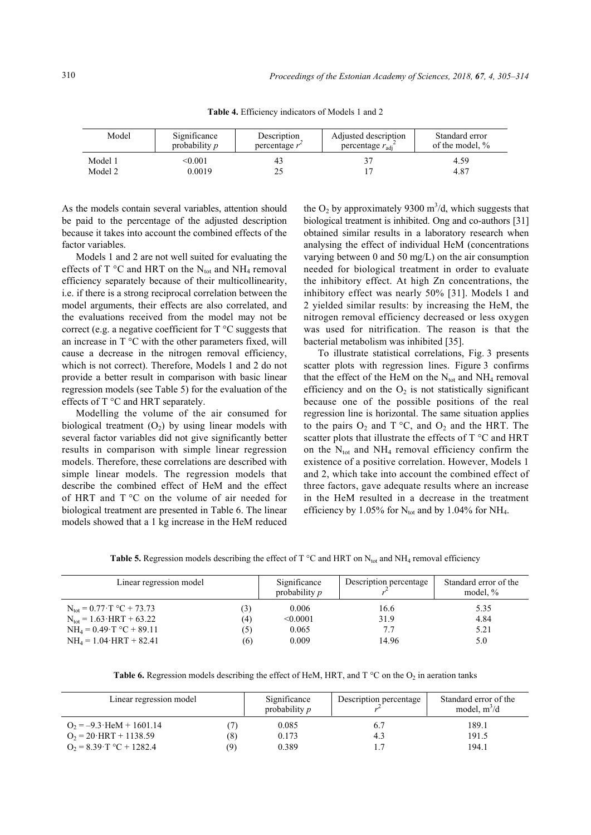| Model   | Significance         | Description      | Adjusted description        | Standard error  |
|---------|----------------------|------------------|-----------------------------|-----------------|
|         | probability <i>p</i> | percentage $r^2$ | percentage $r_{\text{adi}}$ | of the model, % |
| Model 1 | <0.001               | 43               |                             | 4.59            |
| Model 2 | 0.0019               | 25               |                             | 4.87            |

**Table 4.** Efficiency indicators of Models 1 and 2

As the models contain several variables, attention should be paid to the percentage of the adjusted description because it takes into account the combined effects of the factor variables.

Models 1 and 2 are not well suited for evaluating the effects of T  $\rm ^{\circ}C$  and HRT on the N<sub>tot</sub> and NH<sub>4</sub> removal efficiency separately because of their multicollinearity, i.e. if there is a strong reciprocal correlation between the model arguments, their effects are also correlated, and the evaluations received from the model may not be correct (e.g. a negative coefficient for T °C suggests that an increase in  $T^{\circ}C$  with the other parameters fixed, will cause a decrease in the nitrogen removal efficiency, which is not correct). Therefore, Models 1 and 2 do not provide a better result in comparison with basic linear regression models (see Table 5) for the evaluation of the effects of T °C and HRT separately.

Modelling the volume of the air consumed for biological treatment  $(O_2)$  by using linear models with several factor variables did not give significantly better results in comparison with simple linear regression models. Therefore, these correlations are described with simple linear models. The regression models that describe the combined effect of HeM and the effect of HRT and T °C on the volume of air needed for biological treatment are presented in Table 6. The linear models showed that a 1 kg increase in the HeM reduced

the  $O_2$  by approximately 9300 m<sup>3</sup>/d, which suggests that biological treatment is inhibited. Ong and co-authors [31] obtained similar results in a laboratory research when analysing the effect of individual HeM (concentrations varying between 0 and 50 mg/L) on the air consumption needed for biological treatment in order to evaluate the inhibitory effect. At high Zn concentrations, the inhibitory effect was nearly 50% [31]. Models 1 and 2 yielded similar results: by increasing the HeM, the nitrogen removal efficiency decreased or less oxygen was used for nitrification. The reason is that the bacterial metabolism was inhibited [35].

To illustrate statistical correlations, Fig. 3 presents scatter plots with regression lines. Figure 3 confirms that the effect of the HeM on the  $N_{tot}$  and  $NH_4$  removal efficiency and on the  $O_2$  is not statistically significant because one of the possible positions of the real regression line is horizontal. The same situation applies to the pairs  $O_2$  and  $T^{\circ}C$ , and  $O_2$  and the HRT. The scatter plots that illustrate the effects of T °C and HRT on the  $N_{tot}$  and  $NH_4$  removal efficiency confirm the existence of a positive correlation. However, Models 1 and 2, which take into account the combined effect of three factors, gave adequate results where an increase in the HeM resulted in a decrease in the treatment efficiency by 1.05% for  $N_{tot}$  and by 1.04% for NH<sub>4</sub>.

**Table 5.** Regression models describing the effect of T  $\degree$ C and HRT on N<sub>tot</sub> and NH<sub>4</sub> removal efficiency

| Linear regression model                             | Significance<br>probability $p$ | Description percentage | Standard error of the<br>model, $\%$ |      |
|-----------------------------------------------------|---------------------------------|------------------------|--------------------------------------|------|
| $N_{\text{tot}} = 0.77 \text{ T} \text{°C} + 73.73$ | د ۍ                             | 0.006                  | 16.6                                 | 5.35 |
| $N_{\text{tot}} = 1.63 \cdot \text{HRT} + 63.22$    | (4)                             | < 0.0001               | 31.9                                 | 4.84 |
| $NH_4 = 0.49 \text{ T } ^{\circ}C + 89.11$          | (5)                             | 0.065                  | 7.7                                  | 5.21 |
| $NH_4 = 1.04$ HRT + 82.41                           | (6)                             | 0.009                  | 14.96                                | 5.0  |

| <b>Table 6.</b> Regression models describing the effect of HeM, HRT, and $T^{\circ}C$ on the O <sub>2</sub> in aeration tanks |  |  |  |
|-------------------------------------------------------------------------------------------------------------------------------|--|--|--|
|-------------------------------------------------------------------------------------------------------------------------------|--|--|--|

| Linear regression model    |     | Significance<br>probability $p$ | Description percentage | Standard error of the<br>model, $m^3/d$ |
|----------------------------|-----|---------------------------------|------------------------|-----------------------------------------|
| $Q_2 = -9.3$ HeM + 1601.14 |     | 0.085                           |                        | 189.1                                   |
| $O_2 = 20$ HRT + 1138.59   | (8) | 0.173                           | 4.3                    | 191.5                                   |
| $Q_2 = 8.39$ T °C + 1282.4 | (9) | 0.389                           |                        | 194.1                                   |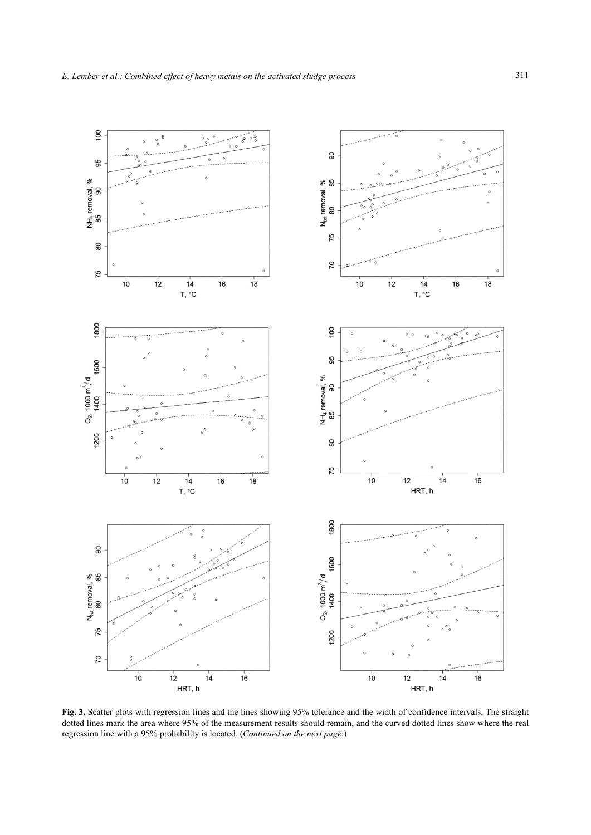

**Fig. 3.** Scatter plots with regression lines and the lines showing 95% tolerance and the width of confidence intervals. The straight dotted lines mark the area where 95% of the measurement results should remain, and the curved dotted lines show where the real regression line with a 95% probability is located. (*Continued on the next page.*)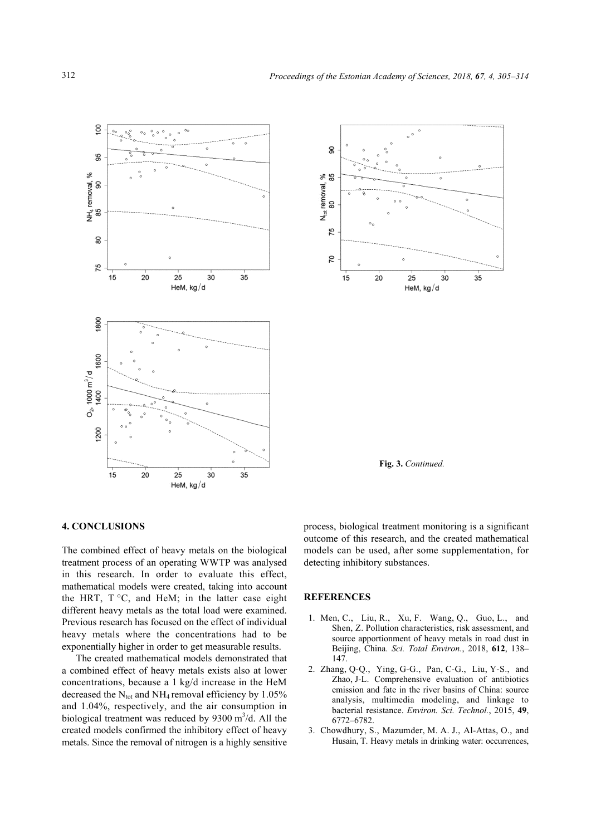



**Fig. 3.** *Continued.*

## **4. CONCLUSIONS**

The combined effect of heavy metals on the biological treatment process of an operating WWTP was analysed in this research. In order to evaluate this effect, mathematical models were created, taking into account the HRT,  $T^{\circ}C$ , and HeM; in the latter case eight different heavy metals as the total load were examined. Previous research has focused on the effect of individual heavy metals where the concentrations had to be exponentially higher in order to get measurable results.

The created mathematical models demonstrated that a combined effect of heavy metals exists also at lower concentrations, because a 1 kg/d increase in the HeM decreased the  $N_{tot}$  and NH<sub>4</sub> removal efficiency by 1.05% and 1.04%, respectively, and the air consumption in biological treatment was reduced by  $9300 \text{ m}^3/\text{d}$ . All the created models confirmed the inhibitory effect of heavy metals. Since the removal of nitrogen is a highly sensitive

process, biological treatment monitoring is a significant outcome of this research, and the created mathematical models can be used, after some supplementation, for detecting inhibitory substances.

### **REFERENCES**

- 1. Men, C., Liu, R., Xu, F. Wang, Q., Guo, L., and Shen, Z. Pollution characteristics, risk assessment, and source apportionment of heavy metals in road dust in Beijing, China. *Sci. Total Environ.*, 2018, **612**, 138– 147.
- 2. Zhang, Q-Q., Ying, G-G., Pan, C-G., Liu, Y-S., and Zhao, J-L. Comprehensive evaluation of antibiotics emission and fate in the river basins of China: source analysis, multimedia modeling, and linkage to bacterial resistance. *Environ. Sci. Technol.*, 2015, **49**, 6772–6782.
- 3. Chowdhury, S., Mazumder, M. A. J., Al-Attas, O., and Husain, T. Heavy metals in drinking water: occurrences,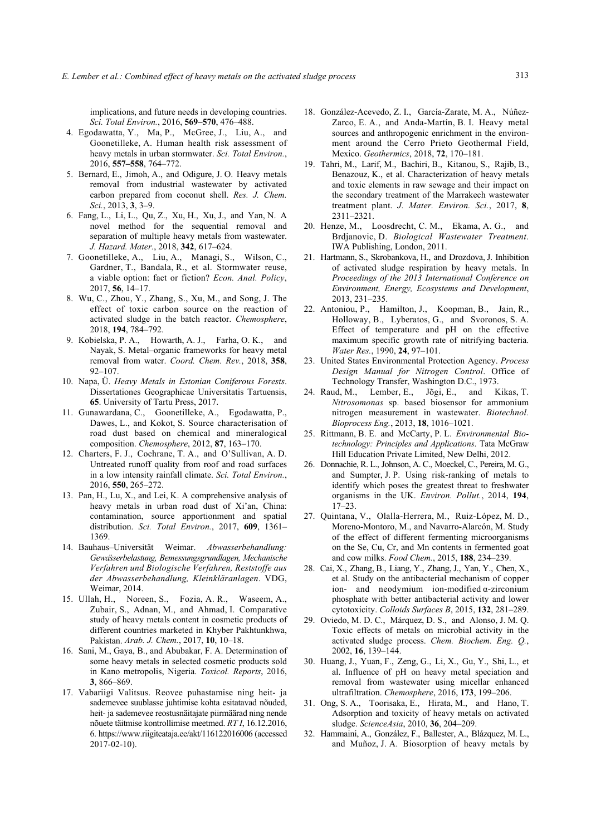implications, and future needs in developing countries. *Sci. Total Environ.*, 2016, **569–570**, 476–488.

- 4. Egodawatta, Y., Ma, P., McGree, J., Liu, A., and Goonetilleke, A. Human health risk assessment of heavy metals in urban stormwater. *Sci. Total Environ.*, 2016, **557–558**, 764–772.
- 5. Bernard, E., Jimoh, A., and Odigure, J. O. Heavy metals removal from industrial wastewater by activated carbon prepared from coconut shell. *Res. J. Chem. Sci.*, 2013, **3**, 3–9.
- 6. Fang, L., Li, L., Qu, Z., Xu, H., Xu, J., and Yan, N. A novel method for the sequential removal and separation of multiple heavy metals from wastewater. *J. Hazard. Mater.*, 2018, **342**, 617–624.
- 7. Goonetilleke, A., Liu, A., Managi, S., Wilson, C., Gardner, T., Bandala, R., et al. Stormwater reuse, a viable option: fact or fiction? *Econ. Anal. Policy*, 2017, **56**, 14–17.
- 8. Wu, C., Zhou, Y., Zhang, S., Xu, M., and Song, J. The effect of toxic carbon source on the reaction of activated sludge in the batch reactor. *Chemosphere*, 2018, **194**, 784–792.
- 9. Kobielska, P. A., Howarth, A. J., Farha, O. K., and Nayak, S. Metal–organic frameworks for heavy metal removal from water. *Coord. Chem. Rev.*, 2018, **358**, 92–107.
- 10. Napa, Ü. *Heavy Metals in Estonian Coniferous Forests*. Dissertationes Geographicae Universitatis Tartuensis, **65**. University of Tartu Press, 2017.
- 11. Gunawardana, C., Goonetilleke, A., Egodawatta, P., Dawes, L., and Kokot, S. Source characterisation of road dust based on chemical and mineralogical composition. *Chemosphere*, 2012, **87**, 163–170.
- 12. Charters, F. J., Cochrane, T. A., and O'Sullivan, A. D. Untreated runoff quality from roof and road surfaces in a low intensity rainfall climate. *Sci. Total Environ.*, 2016, **550**, 265–272.
- 13. Pan, H., Lu, X., and Lei, K. A comprehensive analysis of heavy metals in urban road dust of Xi'an, China: contamination, source apportionment and spatial distribution. *Sci. Total Environ.*, 2017, **609**, 1361– 1369.
- 14. Bauhaus–Universität Weimar. *Abwasserbehandlung: Gewässerbelastung, Bemessungsgrundlagen, Mechanische Verfahren und Biologische Verfahren, Reststoffe aus der Abwasserbehandlung, Kleinkläranlagen*. VDG, Weimar, 2014.
- 15. Ullah, H., Noreen, S., Fozia, A. R., Waseem, A., Zubair, S., Adnan, M., and Ahmad, I. Comparative study of heavy metals content in cosmetic products of different countries marketed in Khyber Pakhtunkhwa, Pakistan. *Arab. J. Chem.*, 2017, **10**, 10–18.
- 16. Sani, M., Gaya, B., and Abubakar, F. A. Determination of some heavy metals in selected cosmetic products sold in Kano metropolis, Nigeria. *Toxicol. Reports*, 2016, **3**, 866–869.
- 17. Vabariigi Valitsus. Reovee puhastamise ning heit- ja sademevee suublasse juhtimise kohta esitatavad nõuded, heit- ja sademevee reostusnäitajate piirmäärad ning nende nõuete täitmise kontrollimise meetmed. *RT I*, 16.12.2016, 6. https://www.riigiteataja.ee/akt/116122016006 (accessed 2017-02-10).
- 18. González-Acevedo, Z. I., García-Zarate, M. A., Núñez-Zarco, E. A., and Anda-Martín, B. I. Heavy metal sources and anthropogenic enrichment in the environment around the Cerro Prieto Geothermal Field, Mexico. *Geothermics*, 2018, **72**, 170–181.
- 19. Tahri, M., Larif, M., Bachiri, B., Kitanou, S., Rajib, B., Benazouz, K., et al. Characterization of heavy metals and toxic elements in raw sewage and their impact on the secondary treatment of the Marrakech wastewater treatment plant. *J. Mater. Environ. Sci.*, 2017, **8**, 2311–2321.
- 20. Henze, M., Loosdrecht, C. M., Ekama, A. G., and Brdjanovic, D. *Biological Wastewater Treatment*. IWA Publishing, London, 2011.
- 21. Hartmann, S., Skrobankova, H., and Drozdova, J. Inhibition of activated sludge respiration by heavy metals. In *Proceedings of the 2013 International Conference on Environment, Energy, Ecosystems and Development*, 2013, 231–235.
- 22. Antoniou, P., Hamilton, J., Koopman, B., Jain, R., Holloway, B., Lyberatos, G., and Svoronos, S. A. Effect of temperature and pH on the effective maximum specific growth rate of nitrifying bacteria. *Water Res.*, 1990, **24**, 97–101.
- 23. United States Environmental Protection Agency. *Process Design Manual for Nitrogen Control*. Office of Technology Transfer, Washington D.C., 1973.
- 24. Raud, M., Lember, E., Jõgi, E., and Kikas, T. *Nitrosomonas* sp. based biosensor for ammonium nitrogen measurement in wastewater. *Biotechnol. Bioprocess Eng.*, 2013, **18**, 1016–1021.
- 25. Rittmann, B. E. and McCarty, P. L. *Environmental Biotechnology: Principles and Applications*. Tata McGraw Hill Education Private Limited, New Delhi, 2012.
- 26. Donnachie, R. L., Johnson, A. C., Moeckel, C., Pereira, M. G., and Sumpter, J. P. Using risk-ranking of metals to identify which poses the greatest threat to freshwater organisms in the UK. *Environ. Pollut.*, 2014, **194**, 17–23.
- 27. Quintana, V., Olalla-Herrera, M., Ruiz-López, M. D., Moreno-Montoro, M., and Navarro-Alarcón, M. Study of the effect of different fermenting microorganisms on the Se, Cu, Cr, and Mn contents in fermented goat and cow milks. *Food Chem.*, 2015, **188**, 234–239.
- 28. Cai, X., Zhang, B., Liang, Y., Zhang, J., Yan, Y., Chen, X., et al. Study on the antibacterial mechanism of copper ion- and neodymium ion-modified α-zirconium phosphate with better antibacterial activity and lower cytotoxicity. *Colloids Surfaces B*, 2015, **132**, 281–289.
- 29. Oviedo, M. D. C., Márquez, D. S., and Alonso, J. M. Q. Toxic effects of metals on microbial activity in the activated sludge process. *Chem. Biochem. Eng. Q.*, 2002, **16**, 139–144.
- 30. Huang, J., Yuan, F., Zeng, G., Li, X., Gu, Y., Shi, L., et al. Influence of pH on heavy metal speciation and removal from wastewater using micellar enhanced ultrafiltration. *Chemosphere*, 2016, **173**, 199–206.
- 31. Ong, S. A., Toorisaka, E., Hirata, M., and Hano, T. Adsorption and toxicity of heavy metals on activated sludge. *ScienceAsia*, 2010, **36**, 204–209.
- 32. Hammaini, A., González, F., Ballester, A., Blázquez, M. L., and Muñoz, J. A. Biosorption of heavy metals by